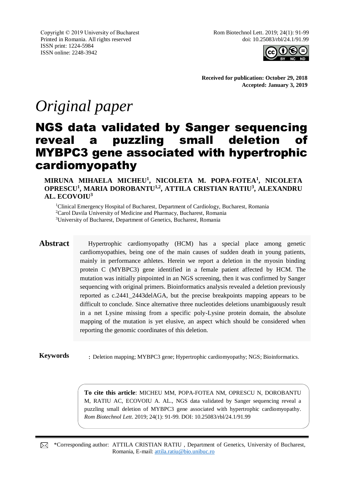Copyright © 2019 University of Bucharest Printed in Romania. All rights reserved ISSN print: 1224-5984 ISSN online: 2248-3942

Rom Biotechnol Lett. 2019; 24(1): 91-99 doi: 10.25083/rbl/24.1/91.99



**Received for publication: October 29, 2018 Accepted: January 3, 2019**

# *Original paper*

## NGS data validated by Sanger sequencing reveal a puzzling small deletion of MYBPC3 gene associated with hypertrophic cardiomyopathy

**MIRUNA MIHAELA MICHEU<sup>1</sup> , NICOLETA M. POPA-FOTEA<sup>1</sup> , NICOLETA OPRESCU<sup>1</sup> , MARIA DOROBANTU1,2, ATTILA CRISTIAN RATIU<sup>3</sup> , ALEXANDRU AL. ECOVOIU<sup>3</sup>**

<sup>1</sup>Clinical Emergency Hospital of Bucharest, Department of Cardiology, Bucharest, Romania <sup>2</sup>Carol Davila University of Medicine and Pharmacy, Bucharest, Romania

<sup>3</sup>University of Bucharest, Department of Genetics, Bucharest, Romania

**Abstract** Hypertrophic cardiomyopathy (HCM) has a special place among genetic cardiomyopathies, being one of the main causes of sudden death in young patients, mainly in performance athletes. Herein we report a deletion in the myosin binding protein C (MYBPC3) gene identified in a female patient affected by HCM. The mutation was initially pinpointed in an NGS screening, then it was confirmed by Sanger sequencing with original primers. Bioinformatics analysis revealed a deletion previously reported as c.2441\_2443delAGA, but the precise breakpoints mapping appears to be difficult to conclude. Since alternative three nucleotides deletions unambiguously result in a net Lysine missing from a specific poly-Lysine protein domain, the absolute mapping of the mutation is yet elusive, an aspect which should be considered when reporting the genomic coordinates of this deletion.

**Keywords** : Deletion mapping; MYBPC3 gene; Hypertrophic cardiomyopathy; NGS; Bioinformatics.

**To cite this article**: MICHEU MM, POPA-FOTEA NM, OPRESCU N, DOROBANTU M, RATIU AC, ECOVOIU A. AL., NGS data validated by Sanger sequencing reveal a puzzling small deletion of MYBPC3 gene associated with hypertrophic cardiomyopathy. *Rom Biotechnol Lett*. 2019; 24(1): 91-99. DOI: 10.25083/rbl/24.1/91.99

\*Corresponding author: ATTILA CRISTIAN RATIU , Department of Genetics, University of Bucharest, ⊠ Romania, E-mail: [attila.ratiu@bio.unibuc.ro](mailto:attila.ratiu@bio.unibuc.ro)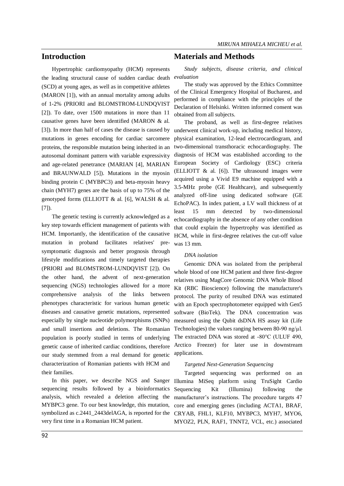#### **Introduction**

Hypertrophic cardiomyopathy (HCM) represents the leading structural cause of sudden cardiac death (SCD) at young ages, as well as in competitive athletes (MARON [1]), with an annual mortality among adults of 1-2% (PRIORI and BLOMSTROM-LUNDQVIST [2]). To date, over 1500 mutations in more than 11 causative genes have been identified (MARON & al. [3]). In more than half of cases the disease is caused by mutations in genes encoding for cardiac sarcomere proteins, the responsible mutation being inherited in an autosomal dominant pattern with variable expressivity and age-related penetrance (MARIAN [4], MARIAN and BRAUNWALD [5]). Mutations in the myosin binding protein C (MYBPC3) and beta-myosin heavy chain (MYH7) genes are the basis of up to 75% of the genotyped forms (ELLIOTT & al. [6], WALSH & al. [7]).

The genetic testing is currently acknowledged as a key step towards efficient management of patients with HCM. Importantly, the identification of the causative mutation in proband facilitates relatives' presymptomatic diagnosis and better prognosis through lifestyle modifications and timely targeted therapies (PRIORI and BLOMSTROM-LUNDQVIST [2]). On the other hand, the advent of next-generation sequencing (NGS) technologies allowed for a more comprehensive analysis of the links between phenotypes characteristic for various human genetic diseases and causative genetic mutations, represented especially by single nucleotide polymorphisms (SNPs) and small insertions and deletions. The Romanian population is poorly studied in terms of underlying genetic cause of inherited cardiac conditions, therefore our study stemmed from a real demand for genetic characterization of Romanian patients with HCM and their families.

sequencing results followed by a bioinformatics analysis, which revealed a deletion affecting the MYBPC3 gene. To our best knowledge, this mutation, symbolized as c.2441\_2443delAGA, is reported for the very first time in a Romanian HCM patient.

#### **Materials and Methods**

*Study subjects, disease criteria, and clinical evaluation*

The study was approved by the Ethics Committee of the Clinical Emergency Hospital of Bucharest, and performed in compliance with the principles of the Declaration of Helsinki. Written informed consent was obtained from all subjects.

The proband, as well as first-degree relatives underwent clinical work-up, including medical history, physical examination, 12-lead electrocardiogram, and two-dimensional transthoracic echocardiography. The diagnosis of HCM was established according to the European Society of Cardiology (ESC) criteria (ELLIOTT  $\&$  al. [6]). The ultrasound images were acquired using a Vivid E9 machine equipped with a 3.5-MHz probe (GE Healthcare), and subsequently analyzed off-line using dedicated software (GE EchoPAC). In index patient, a LV wall thickness of at least 15 mm detected by two-dimensional echocardiography in the absence of any other condition that could explain the hypertrophy was identified as HCM, while in first-degree relatives the cut-off value was 13 mm.

#### *DNA isolation*

Genomic DNA was isolated from the peripheral whole blood of one HCM patient and three first-degree relatives using MagCore Genomic DNA Whole Blood Kit (RBC Bioscience) following the manufacturer's protocol. The purity of resulted DNA was estimated with an Epoch spectrophotometer equipped with Gen5 software (BioTek). The DNA concentration was measured using the Qubit dsDNA HS assay kit (Life Technologies) the values ranging between 80-90 ng/ $\mu$ l. The extracted DNA was stored at -80°C (ULUF 490, Arctico Freezer) for later use in downstream applications.

#### *Targeted Next-Generation Sequencing*

In this paper, we describe NGS and Sanger Illumina MiSeq platform using TruSight Cardio Targeted sequencing was performed on an Sequencing Kit (Illumina) following the manufacturer's instructions. The procedure targets 47 core and emerging genes (including ACTA1, BRAF, CRYAB, FHL1, KLF10, MYBPC3, MYH7, MYO6, MYOZ2, PLN, RAF1, TNNT2, VCL, etc.) associated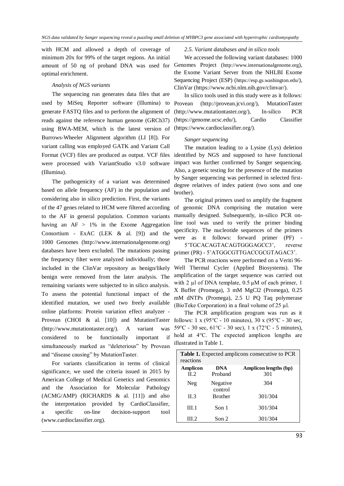with HCM and allowed a depth of coverage of minimum 20x for 99% of the target regions. An initial amount of 50 ng of proband DNA was used for optimal enrichment.

#### *Analysis of NGS variants*

The sequencing run generates data files that are used by MiSeq Reporter software (Illumina) to generate FASTQ files and to perform the alignment of reads against the reference human genome (GRCh37) using BWA-MEM, which is the latest version of Burrows-Wheeler Alignment algorithm (LI [8]). For variant calling was employed GATK and Variant Call Format (VCF) files are produced as output. VCF files were processed with VariantStudio v3.0 software (Illumina).

The pathogenicity of a variant was determined based on allele frequency (AF) in the population and considering also in silico prediction. First, the variants of the 47 genes related to HCM were filtered according to the AF in general population. Common variants having an  $AF > 1\%$  in the Exome Aggregation Consortium - ExAC (LEK & al. [9]) and the 1000 Genomes (http://www.internationalgenome.org) databases have been excluded. The mutations passing the frequency filter were analyzed individually; those included in the ClinVar repository as benign/likely benign were removed from the later analysis. The remaining variants were subjected to in silico analysis. To assess the potential functional impact of the identified mutation, we used two freely available online platforms: Protein variation effect analyzer - Provean (CHOI & al. [10]) and MutationTaster (http://www.mutationtaster.org/). A variant was considered to be functionally important if simultaneously marked as "deleterious" by Provean and "disease causing" by MutationTaster.

For variants classification in terms of clinical significance, we used the criteria issued in 2015 by American College of Medical Genetics and Genomics and the Association for Molecular Pathology (ACMG/AMP) (RICHARDS & al. [11]) and also the interpretation provided by CardioClassifier, a specific on-line decision-support tool (www.cardioclassifier.org).

#### *2.5. Variant databases and in silico tools*

We accessed the following variant databases: 1000 Genomes Project (http://www.internationalgenome.org), the Exome Variant Server from the NHLBI Exome Sequencing Project (ESP) (https://esp.gs.washington.edu/), ClinVar (https://www.ncbi.nlm.nih.gov/clinvar/).

In silico tools used in this study were as it follows: Provean (http://provean.jcvi.org/), MutationTaster (http://www.mutationtaster.org/), In-silico PCR (https://genome.ucsc.edu/), Cardio Classifier (https://www.cardioclassifier.org/).

#### *Sanger sequencing*

The mutation leading to a Lysine (Lys) deletion identified by NGS and supposed to have functional impact was further confirmed by Sanger sequencing. Also, a genetic testing for the presence of the mutation by Sanger sequencing was performed in selected firstdegree relatives of index patient (two sons and one brother).

The original primers used to amplify the fragment of genomic DNA comprising the mutation were manually designed. Subsequently, in-silico PCR online tool was used to verify the primer binding specificity. The nucleotide sequences of the primers were as it follows: forward primer (PF) - 5'TGCACAGTACAGTGGGAGCC3', reverse

primer (PR) - 5'ATGGCGTTGACCGCGTAGAC3'.

The PCR reactions were performed on a Veriti 96- Well Thermal Cycler (Applied Biosystems). The amplification of the target sequence was carried out with 2  $\mu$ l of DNA template, 0.5  $\mu$ M of each primer, 1 X Buffer (Promega), 3 mM MgCl2 (Promega), 0.25 mM dNTPs (Promega), 2.5 U PQ Taq polymerase (BioTeke Corporation) in a final volume of 25  $\mu$ l.

The PCR amplification program was run as it follows: 1 x (95 $\degree$ C - 10 minutes), 30 x (95 $\degree$ C - 30 sec, 59 °C - 30 sec,  $61$  °C - 30 sec), 1 x (72 °C - 5 minutes), hold at 4°C. The expected amplicon lengths are illustrated in Table 1.

| Table 1. Expected amplicons consecutive to PCR |                       |
|------------------------------------------------|-----------------------|
| reactions                                      |                       |
| <b>DNA</b>                                     | Amplicon lengths (bp) |
| Proband                                        | 301                   |
| Negative                                       | 304                   |
| control                                        |                       |
| <b>Brother</b>                                 | 301/304               |
| Son 1                                          | 301/304               |
| Son 2                                          | 301/304               |
|                                                |                       |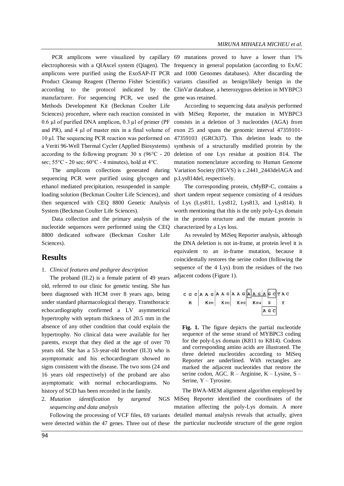manufacturer. For sequencing PCR, we used the Methods Development Kit (Beckman Coulter Life and PR), and  $4 \mu$ l of master mix in a final volume of exon 25 and spans the genomic interval  $47359101$ according to the following program: 30 x (96°C - 20 sec;  $55^{\circ}$ C - 20 sec;  $60^{\circ}$ C - 4 minutes), hold at  $4^{\circ}$ C.

The amplicons collections generated during sequencing PCR were purified using glycogen and ethanol mediated precipitation, resuspended in sample loading solution (Beckman Coulter Life Sciences), and System (Beckman Coulter Life Sciences).

nucleotide sequences were performed using the CEQ 8800 dedicated software (Beckman Coulter Life Sciences).

#### **Results**

#### 1. *Clinical features and pedigree description*

The proband (II.2) is a female patient of 49 years old, referred to our clinic for genetic testing. She has been diagnosed with HCM over 8 years ago, being under standard pharmacological therapy. Transthoracic echocardiography confirmed a LV asymmetrical hypertrophy with septum thickness of 20.5 mm in the absence of any other condition that could explain the hypertrophy. No clinical data were available for her parents, except that they died at the age of over 70 years old. She has a 53-year-old brother (II.3) who is asymptomatic and his echocardiogram showed no signs consistent with the disease. The two sons (24 and 16 years old respectively) of the proband are also asymptomatic with normal echocardiograms. No history of SCD has been recorded in the family.

2. *Mutation identification by targeted sequencing and data analysis*

Following the processing of VCF files, 69 variants were detected within the 47 genes. Three out of these the particular nucleotide structure of the gene region

PCR amplicons were visualized by capillary 69 mutations proved to have a lower than 1% electrophoresis with a QIAxcel system (Qiagen). The frequency in general population (according to ExAC amplicons were purified using the ExoSAP-IT PCR and 1000 Genomes databases). After discarding the Product Cleanup Reagent (Thermo Fisher Scientific) variants classified as benign/likely benign in the according to the protocol indicated by the ClinVar database, a heterozygous deletion in MYBPC3 gene was retained.

Sciences) procedure, where each reaction consisted in with MiSeq Reporter, the mutation in MYBPC3 0.6  $\mu$ l of purified DNA amplicon, 0.3  $\mu$ l of primer (PF consists in a deletion of 3 nucleotides (AGA) from 10 µl. The sequencing PCR reaction was performed on 47359103 (GRCh37). This deletion leads to the a Veriti 96-Well Thermal Cycler (Applied Biosystems) synthesis of a structurally modified protein by the According to sequencing data analysis performed deletion of one Lys residue at position 814. The mutation nomenclature according to Human Genome Variation Society (HGVS) is c.2441\_2443delAGA and p.Lys814del, respectively.

then sequenced with CEQ 8800 Genetic Analysis of Lys (Lys811, Lys812, Lys813, and Lys814). It Data collection and the primary analysis of the in the protein structure and the mutant protein is The corresponding protein, cMyBP-C, contains a short tandem repeat sequence consisting of 4 residues worth mentioning that this is the only poly-Lys domain characterized by a Lys loss.

> As revealed by MiSeq Reporter analysis, although the DNA deletion is not in-frame, at protein level it is equivalent to an in-frame mutation, because it coincidentally restores the serine codon (following the sequence of the 4 Lys) from the residues of the two adjacent codons (Figure 1).

**Fig. 1.** The figure depicts the partial nucleotide sequence of the sense strand of MYBPC3 coding for the poly-Lys domain (K811 to K814). Codons and corresponding amino acids are illustrated. The three deleted nucleotides according to MiSeq Reporter are underlined. With rectangles are marked the adjacent nucleotides that restore the serine codon, AGC. R – Arginine, K – Lysine, S – Serine, Y – Tyrosine.

The BWA-MEM alignment algorithm employed by MiSeq Reporter identified the coordinates of the mutation affecting the poly-Lys domain. A more detailed manual analysis reveals that actually, given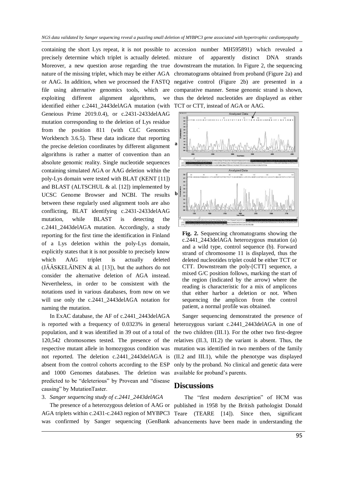precisely determine which triplet is actually deleted. Moreover, a new question arose regarding the true downstream the mutation. In Figure 2, the sequencing nature of the missing triplet, which may be either AGA chromatograms obtained from proband (Figure 2a) and or AAG. In addition, when we processed the FASTQ negative control (Figure 2b) are presented in a file using alternative genomics tools, which are comparative manner. Sense genomic strand is shown, exploiting different alignment algorithms, identified either c.2441\_2443delAGA mutation (with TCT or CTT, instead of AGA or AAG. Geneious Prime 2019.0.4), or c.2431-2433delAAG mutation corresponding to the deletion of Lys residue from the position 811 (with CLC Genomics Workbench 3.6.5). These data indicate that reporting the precise deletion coordinates by different alignment algorithms is rather a matter of convention than an absolute genomic reality. Single nucleotide sequences containing simulated AGA or AAG deletion within the poly-Lys domain were tested with BLAT (KENT [11]) and BLAST (ALTSCHUL  $\&$  al. [12]) implemented by UCSC Genome Browser and NCBI. The results between these regularly used alignment tools are also conflicting, BLAT identifying c.2431-2433delAAG mutation, while BLAST is detecting the c.2441\_2443delAGA mutation. Accordingly, a study reporting for the first time the identification in Finland of a Lys deletion within the poly-Lys domain, explicitly states that it is not possible to precisely know which AAG triplet is actually deleted  $(JÄÄSKELÄINEN & a. [13]),$  but the authors do not consider the alternative deletion of AGA instead. Nevertheless, in order to be consistent with the notations used in various databases, from now on we will use only the c.2441\_2443delAGA notation for naming the mutation.

In ExAC database, the AF of c.2441\_2443delAGA is reported with a frequency of 0.0323% in general population, and it was identified in 39 out of a total of 120,542 chromosomes tested. The presence of the respective mutant allele in homozygous condition was not reported. The deletion c.2441\_2443delAGA is absent from the control cohorts according to the ESP and 1000 Genomes databases. The deletion was predicted to be "deleterious" by Provean and "disease causing" by MutationTaster.

#### 3. *Sanger sequencing study of c.2441\_2443delAGA*

containing the short Lys repeat, it is not possible to accession number MH595891) which revealed a of apparently distinct DNA strands thus the deleted nucleotides are displayed as either



**Fig. 2.** Sequencing chromatograms showing the c.2441\_2443delAGA heterozygous mutation (a) and a wild type, control sequence (b). Forward strand of chromosome 11 is displayed, thus the deleted nucleotides triplet could be either TCT or CTT. Downstream the poly-[CTT] sequence, a mixed G/C position follows, marking the start of the region (indicated by the arrow) where the reading is characteristic for a mix of amplicons that either harbor a deletion or not. When sequencing the amplicon from the control patient, a normal profile was obtained.

Sanger sequencing demonstrated the presence of heterozygous variant c.2441\_2443delAGA in one of the two children (III.1). For the other two first-degree relatives (II.3, III.2) the variant is absent. Thus, the mutation was identified in two members of the family (II.2 and III.1), while the phenotype was displayed only by the proband. No clinical and genetic data were available for proband's parents.

#### **Discussions**

The presence of a heterozygous deletion of AAG or published in 1958 by the British pathologist Donald AGA triplets within c.2431-c.2443 region of MYBPC3 Teare (TEARE [14]). Since then, significant was confirmed by Sanger sequencing (GenBank advancements have been made in understanding the The "first modern description" of HCM was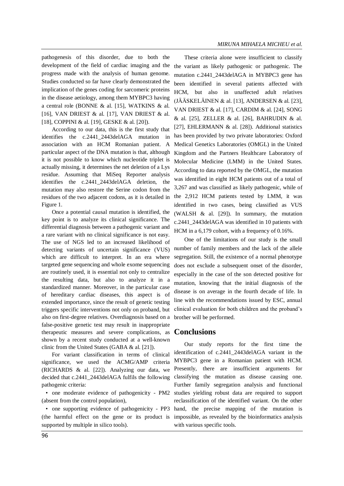pathogenesis of this disorder, due to both the development of the field of cardiac imaging and the progress made with the analysis of human genome. Studies conducted so far have clearly demonstrated the implication of the genes coding for sarcomeric proteins in the disease aetiology, among them MYBPC3 having a central role (BONNE & al. [15], WATKINS & al. [16], VAN DRIEST & al. [17], VAN DRIEST & al. [18], COPPINI & al. [19], GESKE & al. [20]).

According to our data, this is the first study that identifies the c.2441\_2443delAGA mutation in association with an HCM Romanian patient. A particular aspect of the DNA mutation is that, although it is not possible to know which nucleotide triplet is actually missing, it determines the net deletion of a Lys residue. Assuming that MiSeq Reporter analysis identifies the c.2441\_2443delAGA deletion, the mutation may also restore the Serine codon from the residues of the two adjacent codons, as it is detailed in Figure 1.

Once a potential causal mutation is identified, the key point is to analyze its clinical significance. The differential diagnosis between a pathogenic variant and a rare variant with no clinical significance is not easy. The use of NGS led to an increased likelihood of detecting variants of uncertain significance (VUS) which are difficult to interpret. In an era where targeted gene sequencing and whole exome sequencing are routinely used, it is essential not only to centralize the resulting data, but also to analyze it in a standardized manner. Moreover, in the particular case of hereditary cardiac diseases, this aspect is of extended importance, since the result of genetic testing triggers specific interventions not only on proband, but also on first-degree relatives. Overdiagnosis based on a false-positive genetic test may result in inappropriate therapeutic measures and severe complications, as shown by a recent study conducted at a well-known clinic from the United States (GABA & al. [21]).

For variant classification in terms of clinical significance, we used the ACMG/AMP criteria (RICHARDS & al. [22]). Analyzing our data, we decided that c.2441\_2443delAGA fulfils the following pathogenic criteria:

(absent from the control population),

• one supporting evidence of pathogenicity - PP3 (the harmful effect on the gene or its product is impossible, as revealed by the bioinformatics analysis supported by multiple in silico tools).

These criteria alone were insufficient to classify the variant as likely pathogenic or pathogenic. The mutation c.2441\_2443delAGA in MYBPC3 gene has been identified in several patients affected with HCM, but also in unaffected adult relatives (JÄÄSKELÄINEN & al. [13], ANDERSEN & al. [23], VAN DRIEST & al. [17], CARDIM & al. [24], SONG & al. [25], ZELLER & al. [26], BAHRUDIN & al. [27], EHLERMANN & al. [28]). Additional statistics has been provided by two private laboratories: Oxford Medical Genetics Laboratories (OMGL) in the United Kingdom and the Partners Healthcare Laboratory of Molecular Medicine (LMM) in the United States. According to data reported by the OMGL, the mutation was identified in eight HCM patients out of a total of 3,267 and was classified as likely pathogenic, while of the 2,912 HCM patients tested by LMM, it was identified in two cases, being classified as VUS (WALSH & al. [29]). In summary, the mutation c.2441\_2443delAGA was identified in 10 patients with HCM in a 6,179 cohort, with a frequency of 0.16%.

One of the limitations of our study is the small number of family members and the lack of the allele segregation. Still, the existence of a normal phenotype does not exclude a subsequent onset of the disorder, especially in the case of the son detected positive for mutation, knowing that the initial diagnosis of the disease is on average in the fourth decade of life. In line with the recommendations issued by ESC, annual clinical evaluation for both children and the proband's brother will be performed.

#### **Conclusions**

• one moderate evidence of pathogenicity - PM2 studies yielding robust data are required to support Our study reports for the first time the identification of c.2441\_2443delAGA variant in the MYBPC3 gene in a Romanian patient with HCM. Presently, there are insufficient arguments for classifying the mutation as disease causing one. Further family segregation analysis and functional reclassification of the identified variant. On the other hand, the precise mapping of the mutation is with various specific tools.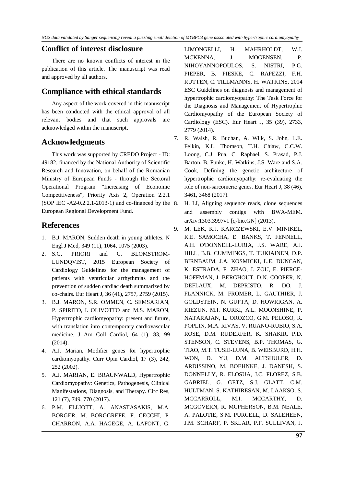#### **Conflict of interest disclosure**

There are no known conflicts of interest in the publication of this article. The manuscript was read and approved by all authors.

#### **Compliance with ethical standards**

Any aspect of the work covered in this manuscript has been conducted with the ethical approval of all relevant bodies and that such approvals are acknowledged within the manuscript.

#### **Acknowledgments**

This work was supported by CREDO Project - ID: 49182, financed by the National Authority of Scientific Research and Innovation, on behalf of the Romanian Ministry of European Funds - through the Sectoral Operational Program "Increasing of Economic Competitiveness", Priority Axis 2, Operation 2.2.1 (SOP IEC  $-A2-0.2.2.1-2013-1$ ) and co-financed by the 8. European Regional Development Fund.

### **References**

- 1. B.J. MARON, Sudden death in young athletes. N Engl J Med, 349 (11), 1064, 1075 (2003).
- 2. S.G. PRIORI and C. BLOMSTROM-LUNDQVIST, 2015 European Society of Cardiology Guidelines for the management of patients with ventricular arrhythmias and the prevention of sudden cardiac death summarized by co-chairs. Eur Heart J, 36 (41), 2757, 2759 (2015).
- 3. B.J. MARON, S.R. OMMEN, C. SEMSARIAN, P. SPIRITO, I. OLIVOTTO and M.S. MARON, Hypertrophic cardiomyopathy: present and future, with translation into contemporary cardiovascular medicine. J Am Coll Cardiol, 64 (1), 83, 99 (2014).
- 4. A.J. Marian, Modifier genes for hypertrophic cardiomyopathy. Curr Opin Cardiol, 17 (3), 242, 252 (2002).
- 5. A.J. MARIAN, E. BRAUNWALD, Hypertrophic Cardiomyopathy: Genetics, Pathogenesis, Clinical Manifestations, Diagnosis, and Therapy. Circ Res, 121 (7), 749, 770 (2017).
- 6. P.M. ELLIOTT, A. ANASTASAKIS, M.A. BORGER, M. BORGGREFE, F. CECCHI, P. CHARRON, A.A. HAGEGE, A. LAFONT, G.

LIMONGELLI, H. MAHRHOLDT, W.J. MCKENNA, J. MOGENSEN, P. NIHOYANNOPOULOS, S. NISTRI, P.G. PIEPER, B. PIESKE, C. RAPEZZI, F.H. RUTTEN, C. TILLMANNS, H. WATKINS, 2014 ESC Guidelines on diagnosis and management of hypertrophic cardiomyopathy: The Task Force for the Diagnosis and Management of Hypertrophic Cardiomyopathy of the European Society of Cardiology (ESC). Eur Heart J, 35 (39), 2733, 2779 (2014).

- 7. R. Walsh, R. Buchan, A. Wilk, S. John, L.E. Felkin, K.L. Thomson, T.H. Chiaw, C.C.W. Loong, C.J. Pua, C. Raphael, S. Prasad, P.J. Barton, B. Funke, H. Watkins, J.S. Ware and S.A. Cook, Defining the genetic architecture of hypertrophic cardiomyopathy: re-evaluating the role of non-sarcomeric genes. Eur Heart J, 38 (46), 3461, 3468 (2017).
	- 8. H. LI, Aligning sequence reads, clone sequences and assembly contigs with BWA-MEM. arXiv:1303.3997v1 [q-bio.GN] (2013).
- 9. M. LEK, K.J. KARCZEWSKI, E.V. MINIKEL, K.E. SAMOCHA, E. BANKS, T. FENNELL, A.H. O'DONNELL-LURIA, J.S. WARE, A.J. HILL, B.B. CUMMINGS, T. TUKIAINEN, D.P. BIRNBAUM, J.A. KOSMICKI, L.E. DUNCAN, K. ESTRADA, F. ZHAO, J. ZOU, E. PIERCE-HOFFMAN, J. BERGHOUT, D.N. COOPER, N. DEFLAUX, M. DEPRISTO, R. DO, J. FLANNICK, M. FROMER, L. GAUTHIER, J. GOLDSTEIN, N. GUPTA, D. HOWRIGAN, A. KIEZUN, M.I. KURKI, A.L. MOONSHINE, P. NATARAJAN, L. OROZCO, G.M. PELOSO, R. POPLIN, M.A. RIVAS, V. RUANO-RUBIO, S.A. ROSE, D.M. RUDERFER, K. SHAKIR, P.D. STENSON, C. STEVENS, B.P. THOMAS, G. TIAO, M.T. TUSIE-LUNA, B. WEISBURD, H.H. WON, D. YU, D.M. ALTSHULER, D. ARDISSINO, M. BOEHNKE, J. DANESH, S. DONNELLY, R. ELOSUA, J.C. FLOREZ, S.B. GABRIEL, G. GETZ, S.J. GLATT, C.M. HULTMAN, S. KATHIRESAN, M. LAAKSO, S. MCCARROLL, M.I. MCCARTHY, D. MCGOVERN, R. MCPHERSON, B.M. NEALE, A. PALOTIE, S.M. PURCELL, D. SALEHEEN, J.M. SCHARF, P. SKLAR, P.F. SULLIVAN, J.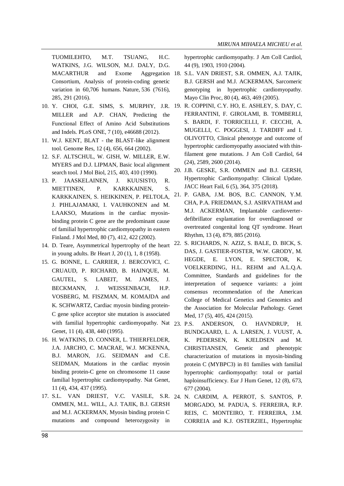TUOMILEHTO, M.T. TSUANG, H.C. WATKINS, J.G. WILSON, M.J. DALY, D.G. MACARTHUR and Exome Consortium, Analysis of protein-coding genetic variation in 60,706 humans. Nature, 536 (7616), 285, 291 (2016).

- MILLER and A.P. CHAN, Predicting the Functional Effect of Amino Acid Substitutions and Indels. PLoS ONE, 7 (10), e46688 (2012).
- 11. W.J. KENT, BLAT the BLAST-like alignment tool. Genome Res, 12 (4), 656, 664 (2002).
- 12. S.F. ALTSCHUL, W. GISH, W. MILLER, E.W. MYERS and D.J. LIPMAN, Basic local alignment search tool. J Mol Biol, 215, 403, 410 (1990).
- 13. P. JAASKELAINEN, J. KUUSISTO, R. MIETTINEN, P. KARKKAINEN, S. KARKKAINEN, S. HEIKKINEN, P. PELTOLA, J. PIHLAJAMAKI, I. VAUHKONEN and M. LAAKSO, Mutations in the cardiac myosinbinding protein C gene are the predominant cause of familial hypertrophic cardiomyopathy in eastern Finland. J Mol Med, 80 (7), 412, 422 (2002).
- 14. D. Teare, Asymmetrical hypertrophy of the heart in young adults. Br Heart J, 20 (1), 1, 8 (1958).
- 15. G. BONNE, L. CARRIER, J. BERCOVICI, C. CRUAUD, P. RICHARD, B. HAINQUE, M. GAUTEL, S. LABEIT, M. JAMES, J. BECKMANN, J. WEISSENBACH, H.P. VOSBERG, M. FISZMAN, M. KOMAJDA and K. SCHWARTZ, Cardiac myosin binding protein-C gene splice acceptor site mutation is associated with familial hypertrophic cardiomyopathy. Nat 23. P.S. Genet, 11 (4), 438, 440 (1995).
- 16. H. WATKINS, D. CONNER, L. THIERFELDER, J.A. JARCHO, C. MACRAE, W.J. MCKENNA, B.J. MARON, J.G. SEIDMAN and C.E. SEIDMAN, Mutations in the cardiac myosin binding protein-C gene on chromosome 11 cause familial hypertrophic cardiomyopathy. Nat Genet, 11 (4), 434, 437 (1995).
- 17. S.L. VAN DRIEST, V.C. VASILE, S.R. 24. N. CARDIM, A. PERROT, S. SANTOS, P. OMMEN, M.L. WILL, A.J. TAJIK, B.J. GERSH and M.J. ACKERMAN, Myosin binding protein C mutations and compound heterozygosity in

hypertrophic cardiomyopathy. J Am Coll Cardiol, 44 (9), 1903, 1910 (2004).

- Aggregation 18. S.L. VAN DRIEST, S.R. OMMEN, A.J. TAJIK, B.J. GERSH and M.J. ACKERMAN, Sarcomeric genotyping in hypertrophic cardiomyopathy. Mayo Clin Proc, 80 (4), 463, 469 (2005).
- 10. Y. CHOI, G.E. SIMS, S. MURPHY, J.R. 19. R. COPPINI, C.Y. HO, E. ASHLEY, S. DAY, C. FERRANTINI, F. GIROLAMI, B. TOMBERLI, S. BARDI, F. TORRICELLI, F. CECCHI, A. MUGELLI, C. POGGESI, J. TARDIFF and I. OLIVOTTO, Clinical phenotype and outcome of hypertrophic cardiomyopathy associated with thinfilament gene mutations. J Am Coll Cardiol, 64 (24), 2589, 2600 (2014).
	- 20. J.B. GESKE, S.R. OMMEN and B.J. GERSH, Hypertrophic Cardiomyopathy: Clinical Update. JACC Heart Fail, 6 (5), 364, 375 (2018).
	- 21. P. GABA, J.M. BOS, B.C. CANNON, Y.M. CHA, P.A. FRIEDMAN, S.J. ASIRVATHAM and M.J. ACKERMAN, Implantable cardioverterdefibrillator explantation for overdiagnosed or overtreated congenital long QT syndrome. Heart Rhythm, 13 (4), 879, 885 (2016).
	- 22. S. RICHARDS, N. AZIZ, S. BALE, D. BICK, S. DAS, J. GASTIER-FOSTER, W.W. GRODY, M. HEGDE, E. LYON, E. SPECTOR, K. VOELKERDING, H.L. REHM and A.L.Q.A. Committee, Standards and guidelines for the interpretation of sequence variants: a joint consensus recommendation of the American College of Medical Genetics and Genomics and the Association for Molecular Pathology. Genet Med, 17 (5), 405, 424 (2015).
	- ANDERSON, O. HAVNDRUP, H. BUNDGAARD, L. A. LARSEN, J. VUUST, A. K. PEDERSEN, K. KJELDSEN and M. CHRISTIANSEN, Genetic and phenotypic characterization of mutations in myosin-binding protein C (MYBPC3) in 81 families with familial hypertrophic cardiomyopathy: total or partial haploinsufficiency. Eur J Hum Genet, 12 (8), 673, 677 (2004).
	- MORGADO, M. PADUA, S. FERREIRA, R.P. REIS, C. MONTEIRO, T. FERREIRA, J.M. CORREIA and K.J. OSTERZIEL, Hypertrophic